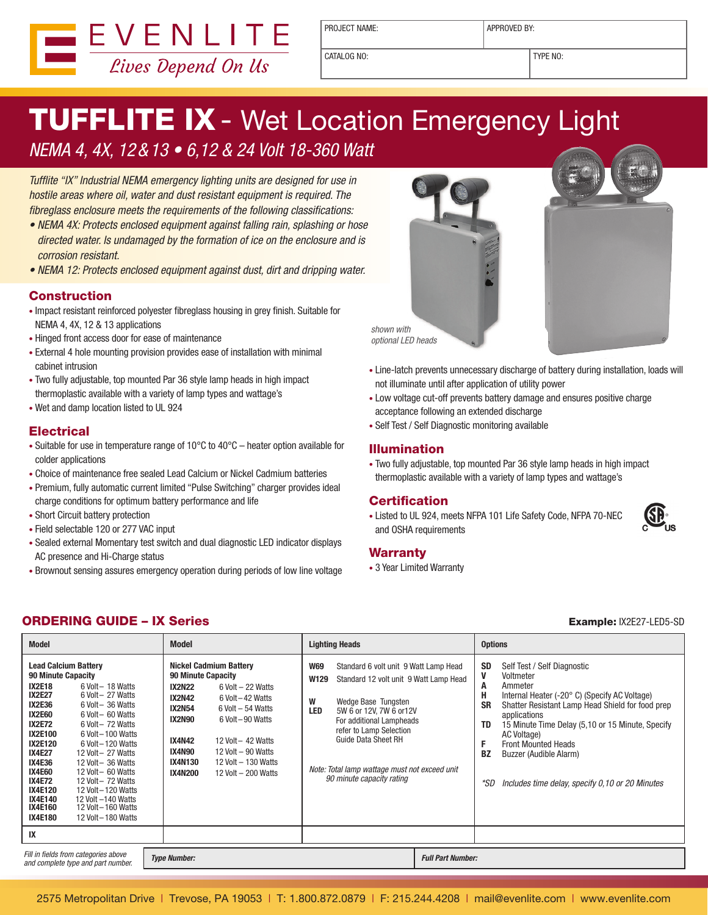

PROJECT NAME:  $\vert$  APPROVED BY:

CATALOG NO: TYPE NO:

# **TUFFLITE IX - Wet Location Emergency Light**

### NEMA 4, 4X, 12&13 • 6,12 & 24 Volt 18-360 Watt

Tufflite "IX" Industrial NEMA emergency lighting units are designed for use in hostile areas where oil, water and dust resistant equipment is required. The fibreglass enclosure meets the requirements of the following classifications:

- NEMA 4X: Protects enclosed equipment against falling rain, splashing or hose directed water. Is undamaged by the formation of ice on the enclosure and is corrosion resistant.
- NEMA 12: Protects enclosed equipment against dust, dirt and dripping water.

#### Construction

- Impact resistant reinforced polyester fibreglass housing in grey finish. Suitable for NEMA 4, 4X, 12 & 13 applications
- Hinged front access door for ease of maintenance
- External 4 hole mounting provision provides ease of installation with minimal cabinet intrusion
- Two fully adjustable, top mounted Par 36 style lamp heads in high impact thermoplastic available with a variety of lamp types and wattage's
- • Wet and damp location listed to UL 924

### **Electrical**

- Suitable for use in temperature range of  $10^{\circ}$ C to  $40^{\circ}$ C heater option available for colder applications
- Choice of maintenance free sealed Lead Calcium or Nickel Cadmium batteries
- Premium, fully automatic current limited "Pulse Switching" charger provides ideal charge conditions for optimum battery performance and life
- Short Circuit battery protection
- • Field selectable 120 or 277 VAC input
- • Sealed external Momentary test switch and dual diagnostic LED indicator displays AC presence and Hi-Charge status
- Brownout sensing assures emergency operation during periods of low line voltage





- Low voltage cut-off prevents battery damage and ensures positive charge acceptance following an extended discharge
- Self Test / Self Diagnostic monitoring available

#### Illumination

• Two fully adjustable, top mounted Par 36 style lamp heads in high impact thermoplastic available with a variety of lamp types and wattage's

#### **Certification**

• Listed to UL 924, meets NFPA 101 Life Safety Code, NFPA 70-NEC and OSHA requirements

#### **Warranty**

• 3 Year Limited Warranty

#### ORDERING GUIDE – IX Series Example: IX2E27-LED5-SD

| <b>Model</b>                                                                                                                                                                                                                                                                                                                                                                                                                                                                                                                                                                                                                                           | <b>Model</b>                                                                                                                                                                                                                                                                                                                                                         | <b>Lighting Heads</b>                                                                                                                                                                                                                                                                                                                   | <b>Options</b>                                                                                                                                                                                                                                                                                                                                                                                                                 |
|--------------------------------------------------------------------------------------------------------------------------------------------------------------------------------------------------------------------------------------------------------------------------------------------------------------------------------------------------------------------------------------------------------------------------------------------------------------------------------------------------------------------------------------------------------------------------------------------------------------------------------------------------------|----------------------------------------------------------------------------------------------------------------------------------------------------------------------------------------------------------------------------------------------------------------------------------------------------------------------------------------------------------------------|-----------------------------------------------------------------------------------------------------------------------------------------------------------------------------------------------------------------------------------------------------------------------------------------------------------------------------------------|--------------------------------------------------------------------------------------------------------------------------------------------------------------------------------------------------------------------------------------------------------------------------------------------------------------------------------------------------------------------------------------------------------------------------------|
| <b>Lead Calcium Battery</b><br><b>90 Minute Capacity</b><br><b>IX2E18</b><br>6 Volt - 18 Watts<br><b>IX2E27</b><br>6 Volt - 27 Watts<br><b>IX2E36</b><br>6 Volt - 36 Watts<br><b>IX2E60</b><br>6 Volt - 60 Watts<br><b>IX2E72</b><br>6 Volt - 72 Watts<br><b>IX2E100</b><br>6 Volt-100 Watts<br><b>IX2E120</b><br>6 Volt-120 Watts<br><b>IX4E27</b><br>12 Volt - 27 Watts<br><b>IX4E36</b><br>12 Volt - 36 Watts<br><b>IX4E60</b><br>12 Volt - 60 Watts<br><b>IX4E72</b><br>12 Volt - 72 Watts<br><b>IX4E120</b><br>12 Volt-120 Watts<br><b>IX4E140</b><br>12 Volt -140 Watts<br>IX4E160<br>12 Volt – 160 Watts<br><b>IX4E180</b><br>12 Volt-180 Watts | <b>Nickel Cadmium Battery</b><br>90 Minute Capacity<br><b>IX2N22</b><br>$6$ Volt $-$ 22 Watts<br><b>IX2N42</b><br>6 Volt – 42 Watts<br><b>IX2N54</b><br>$6$ Volt $-54$ Watts<br>IX2N90<br>6 Volt-90 Watts<br><b>IX4N42</b><br>12 Volt $-$ 42 Watts<br>IX4N90<br>12 Volt - 90 Watts<br><b>IX4N130</b><br>12 Volt - 130 Watts<br><b>IX4N200</b><br>12 Volt - 200 Watts | <b>W69</b><br>Standard 6 volt unit 9 Watt Lamp Head<br>Standard 12 volt unit 9 Watt Lamp Head<br>W129<br>W<br>Wedge Base Tungsten<br>LED<br>5W 6 or 12V, 7W 6 or 12V<br>For additional Lampheads<br>refer to Lamp Selection<br><b>Guide Data Sheet RH</b><br>Note: Total lamp wattage must not exceed unit<br>90 minute capacity rating | <b>SD</b><br>Self Test / Self Diagnostic<br>V<br>Voltmeter<br>Ammeter<br>A<br>н<br>Internal Heater (-20° C) (Specify AC Voltage)<br><b>SR</b><br>Shatter Resistant Lamp Head Shield for food prep<br>applications<br>15 Minute Time Delay (5,10 or 15 Minute, Specify<br>TD<br>AC Voltage)<br>F<br><b>Front Mounted Heads</b><br><b>BZ</b><br>Buzzer (Audible Alarm)<br>*SD<br>Includes time delay, specify 0,10 or 20 Minutes |
| IX                                                                                                                                                                                                                                                                                                                                                                                                                                                                                                                                                                                                                                                     |                                                                                                                                                                                                                                                                                                                                                                      |                                                                                                                                                                                                                                                                                                                                         |                                                                                                                                                                                                                                                                                                                                                                                                                                |
| Fill in fields from categories above<br>and complete type and part number.                                                                                                                                                                                                                                                                                                                                                                                                                                                                                                                                                                             | <b>Type Number:</b>                                                                                                                                                                                                                                                                                                                                                  | <b>Full Part Number:</b>                                                                                                                                                                                                                                                                                                                |                                                                                                                                                                                                                                                                                                                                                                                                                                |